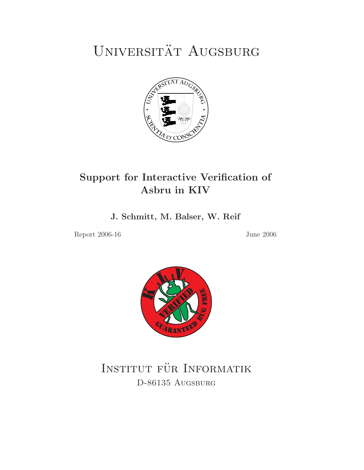# UNIVERSITÄT AUGSBURG



# **Support for Interactive Verification of Asbru in KIV**

**J. Schmitt, M. Balser, W. Reif**

Report 2006-16 June 2006



INSTITUT FÜR INFORMATIK<br>D-86135 Augsburg D-86135 Augsburg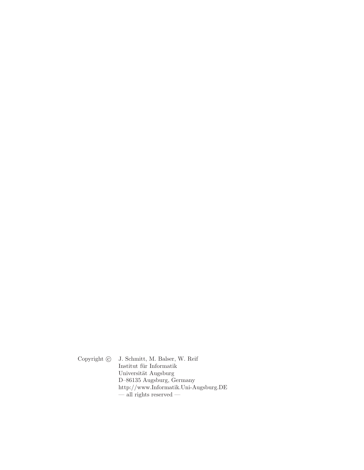Copyright  $\odot$  J. Schmitt, M. Balser, W. Reif Institut für Informatik Universität Augsburg D–86135 Augsburg, Germany http://www.Informatik.Uni-Augsburg.DE  $-$  all rights reserved  $-$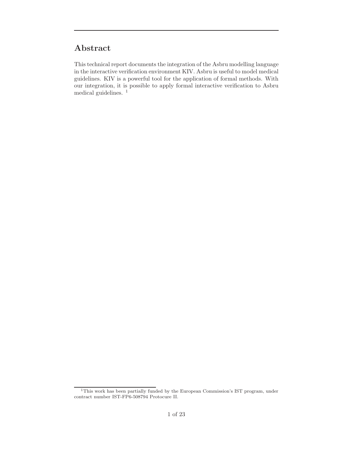# **Abstract**

This technical report documents the integration of the Asbru modelling language in the interactive verification environment KIV. Asbru is useful to model medical guidelines. KIV is a powerful tool for the application of formal methods. With our integration, it is possible to apply formal interactive verification to Asbru medical guidelines.<sup>1</sup>

 $^1 \mathrm{This}$  work has been partially funded by the European Commission's IST program, under contract number IST-FP6-508794 Protocure II.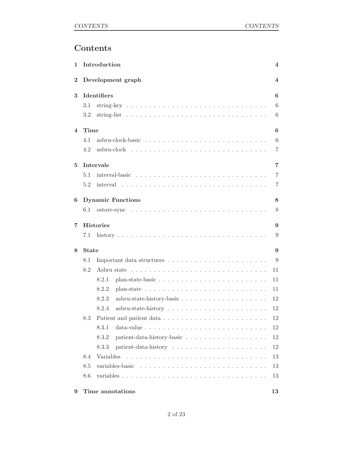# **Contents**

| 1                        |              | Introduction                                                                                | 4              |
|--------------------------|--------------|---------------------------------------------------------------------------------------------|----------------|
| $\overline{2}$           |              | Development graph                                                                           | 4              |
| 3                        |              | Identifiers                                                                                 | 6              |
|                          | 3.1          |                                                                                             | 6              |
|                          | 3.2          |                                                                                             | 6              |
| $\overline{\mathcal{A}}$ | Time         |                                                                                             | 6              |
|                          | 4.1          |                                                                                             | 6              |
|                          | 4.2          | $asbru-clock \dots \dots \dots \dots \dots \dots \dots \dots \dots \dots \dots \dots \dots$ | 7              |
| 5                        |              | Intervals                                                                                   | $\overline{7}$ |
|                          | 5.1          |                                                                                             | $\overline{7}$ |
|                          | 5.2          |                                                                                             | $\overline{7}$ |
| 6                        |              | <b>Dynamic Functions</b>                                                                    | 8              |
|                          | 6.1          |                                                                                             | 8              |
| 7                        |              | <b>Histories</b>                                                                            | 9              |
|                          | 7.1          |                                                                                             | 9              |
| 8                        | <b>State</b> |                                                                                             | 9              |
|                          | 8.1          |                                                                                             | 9              |
|                          | 8.2          |                                                                                             | 11             |
|                          |              | 8.2.1                                                                                       | 11             |
|                          |              | 8.2.2<br>plan-state $\ldots \ldots \ldots \ldots \ldots \ldots \ldots \ldots \ldots \ldots$ | 11             |
|                          |              | 8.2.3                                                                                       | 12             |
|                          |              | 8.2.4                                                                                       | 12             |
|                          | 8.3          |                                                                                             | 12             |
|                          |              |                                                                                             | $12\,$         |
|                          |              | 8.3.2                                                                                       | 12             |
|                          |              | 8.3.3                                                                                       | 12             |
|                          | 8.4          | Variables                                                                                   | 13             |
|                          | 8.5          |                                                                                             | 13             |
|                          | 8.6          |                                                                                             | 13             |
| 9                        |              | Time annotations                                                                            | 13             |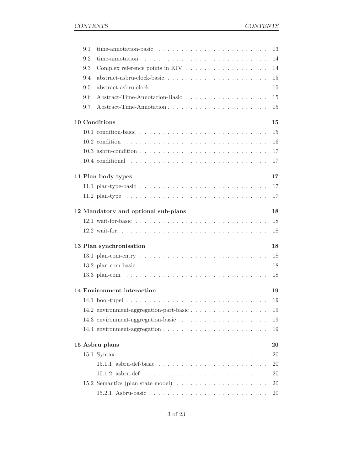|                      | 9.1 |                                                                                               | 13        |  |  |
|----------------------|-----|-----------------------------------------------------------------------------------------------|-----------|--|--|
|                      | 9.2 | time-annotation $\ldots \ldots \ldots \ldots \ldots \ldots \ldots \ldots \ldots \ldots$       | 14        |  |  |
|                      | 9.3 |                                                                                               | 14        |  |  |
|                      | 9.4 |                                                                                               | 15        |  |  |
|                      | 9.5 |                                                                                               | 15        |  |  |
|                      | 9.6 |                                                                                               | 15        |  |  |
|                      | 9.7 | Abstract-Time-Annotation                                                                      | 15        |  |  |
| 10 Conditions        |     |                                                                                               |           |  |  |
|                      |     |                                                                                               | 15        |  |  |
|                      |     |                                                                                               | 16        |  |  |
|                      |     |                                                                                               | 17        |  |  |
|                      |     |                                                                                               | 17        |  |  |
|                      |     | 11 Plan body types                                                                            | 17        |  |  |
|                      |     | 11.1 plan-type-basic $\ldots \ldots \ldots \ldots \ldots \ldots \ldots \ldots \ldots$         | 17        |  |  |
|                      |     | 11.2 plan-type $\ldots \ldots \ldots \ldots \ldots \ldots \ldots \ldots \ldots \ldots \ldots$ | 17        |  |  |
|                      |     | 12 Mandatory and optional sub-plans                                                           | 18        |  |  |
|                      |     |                                                                                               | 18        |  |  |
|                      |     |                                                                                               | 18        |  |  |
|                      |     | 13 Plan synchronisation                                                                       | 18        |  |  |
|                      |     |                                                                                               | 18        |  |  |
|                      |     |                                                                                               | 18        |  |  |
|                      |     |                                                                                               | 18        |  |  |
|                      |     | 14 Environment interaction                                                                    | 19        |  |  |
|                      |     |                                                                                               | 19        |  |  |
|                      |     |                                                                                               | 19        |  |  |
|                      |     |                                                                                               | 19        |  |  |
|                      |     |                                                                                               | 19        |  |  |
| 15 Asbru plans<br>20 |     |                                                                                               |           |  |  |
|                      |     |                                                                                               | 20        |  |  |
|                      |     |                                                                                               | 20        |  |  |
|                      |     |                                                                                               | 20        |  |  |
|                      |     | 15.2 Semantics (plan state model) $\ldots \ldots \ldots \ldots \ldots \ldots$                 | 20        |  |  |
|                      |     |                                                                                               | <b>20</b> |  |  |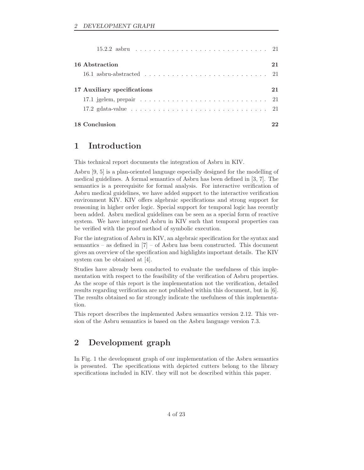| 16 Abstraction                                                                                     | 21 |
|----------------------------------------------------------------------------------------------------|----|
|                                                                                                    |    |
| 17 Auxiliary specifications                                                                        | 21 |
| 17.1 jgelem, prepair $\ldots \ldots \ldots \ldots \ldots \ldots \ldots \ldots \ldots \ldots 21$    |    |
| 17.2 gdata-value $\ldots \ldots \ldots \ldots \ldots \ldots \ldots \ldots \ldots \ldots \ldots 21$ |    |
| 18 Conclusion                                                                                      |    |

# **1 Introduction**

This technical report documents the integration of Asbru in KIV.

Asbru [9, 5] is a plan-oriented language especially designed for the modelling of medical guidelines. A formal semantics of Asbru has been defined in [3, 7]. The semantics is a prerequisite for formal analysis. For interactive verification of Asbru medical guidelines, we have added support to the interactive verification environment KIV. KIV offers algebraic specifications and strong support for reasoning in higher order logic. Special support for temporal logic has recently been added. Asbru medical guidelines can be seen as a special form of reactive system. We have integrated Asbru in KIV such that temporal properties can be verified with the proof method of symbolic execution.

For the integration of Asbru in KIV, an algebraic specification for the syntax and semantics – as defined in [7] – of Asbru has been constructed. This document gives an overview of the specification and highlights important details. The KIV system can be obtained at [4].

Studies have already been conducted to evaluate the usefulness of this implementation with respect to the feasibility of the verification of Asbru properties. As the scope of this report is the implementation not the verification, detailed results regarding verification are not published within this document, but in [6]. The results obtained so far strongly indicate the usefulness of this implementation.

This report describes the implemented Asbru semantics version 2.12. This version of the Asbru semantics is based on the Asbru language version 7.3.

# **2 Development graph**

In Fig. 1 the development graph of our implementation of the Asbru semantics is presented. The specifications with depicted cutters belong to the library specifications included in KIV. they will not be described within this paper.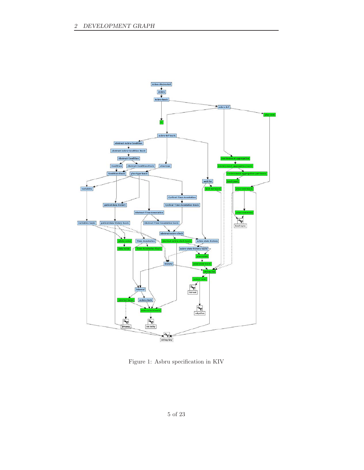

Figure 1: Asbru specification in KIV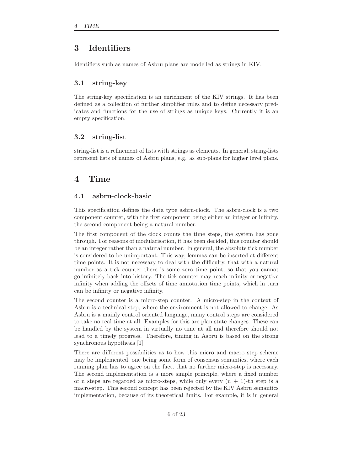# **3 Identifiers**

Identifiers such as names of Asbru plans are modelled as strings in KIV.

# **3.1 string-key**

The string-key specification is an enrichment of the KIV strings. It has been defined as a collection of further simplifier rules and to define necessary predicates and functions for the use of strings as unique keys. Currently it is an empty specification.

# **3.2 string-list**

string-list is a refinement of lists with strings as elements. In general, string-lists represent lists of names of Asbru plans, e.g. as sub-plans for higher level plans.

# **4 Time**

# **4.1 asbru-clock-basic**

This specification defines the data type asbru-clock. The asbru-clock is a two component counter, with the first component being either an integer or infinity, the second component being a natural number.

The first component of the clock counts the time steps, the system has gone through. For reasons of modularisation, it has been decided, this counter should be an integer rather than a natural number. In general, the absolute tick number is considered to be unimportant. This way, lemmas can be inserted at different time points. It is not necessary to deal with the difficulty, that with a natural number as a tick counter there is some zero time point, so that you cannot go infinitely back into history. The tick counter may reach infinity or negative infinity when adding the offsets of time annotation time points, which in turn can be infinity or negative infinity.

The second counter is a micro-step counter. A micro-step in the context of Asbru is a technical step, where the environment is not allowed to change. As Asbru is a mainly control oriented language, many control steps are considered to take no real time at all. Examples for this are plan state changes. These can be handled by the system in virtually no time at all and therefore should not lead to a timely progress. Therefore, timing in Asbru is based on the strong synchronous hypothesis [1].

There are different possibilities as to how this micro and macro step scheme may be implemented, one being some form of consensus semantics, where each running plan has to agree on the fact, that no further micro-step is necessary. The second implementation is a more simple principle, where a fixed number of n steps are regarded as micro-steps, while only every  $(n + 1)$ -th step is a macro-step. This second concept has been rejected by the KIV Asbru semantics implementation, because of its theoretical limits. For example, it is in general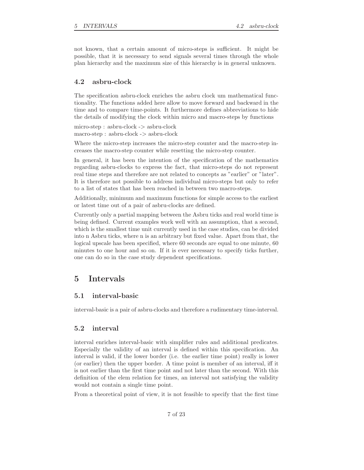not known, that a certain amount of micro-steps is sufficient. It might be possible, that it is necessary to send signals several times through the whole plan hierarchy and the maximum size of this hierarchy is in general unknown.

# **4.2 asbru-clock**

The specification asbru-clock enriches the asbru clock um mathematical functionality. The functions added here allow to move forward and backward in the time and to compare time-points. It furthermore defines abbreviations to hide the details of modifying the clock within micro and macro-steps by functions

micro-step : asbru-clock -> asbru-clock macro-step : asbru-clock -> asbru-clock

Where the micro-step increases the micro-step counter and the macro-step increases the macro-step counter while resetting the micro-step counter.

In general, it has been the intention of the specification of the mathematics regarding asbru-clocks to express the fact, that micro-steps do not represent real time steps and therefore are not related to concepts as "earlier" or "later". It is therefore not possible to address individual micro-steps but only to refer to a list of states that has been reached in between two macro-steps.

Additionally, minimum and maximum functions for simple access to the earliest or latest time out of a pair of asbru-clocks are defined.

Currently only a partial mapping between the Asbru ticks and real world time is being defined. Current examples work well with an assumption, that a second, which is the smallest time unit currently used in the case studies, can be divided into n Asbru ticks, where n is an arbitrary but fixed value. Apart from that, the logical upscale has been specified, where 60 seconds are equal to one minute, 60 minutes to one hour and so on. If it is ever necessary to specify ticks further, one can do so in the case study dependent specifications.

# **5 Intervals**

#### **5.1 interval-basic**

interval-basic is a pair of asbru-clocks and therefore a rudimentary time-interval.

#### **5.2 interval**

interval enriches interval-basic with simplifier rules and additional predicates. Especially the validity of an interval is defined within this specification. An interval is valid, if the lower border (i.e. the earlier time point) really is lower (or earlier) then the upper border. A time point is member of an interval, iff it is not earlier than the first time point and not later than the second. With this definition of the elem relation for times, an interval not satisfying the validity would not contain a single time point.

From a theoretical point of view, it is not feasible to specify that the first time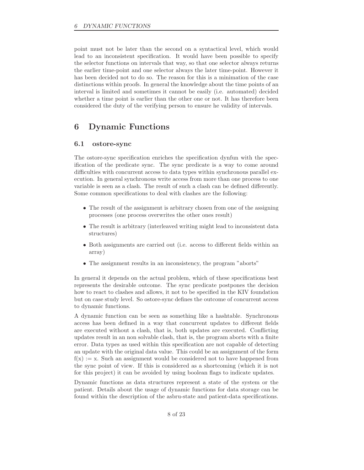point must not be later than the second on a syntactical level, which would lead to an inconsistent specification. It would have been possible to specify the selector functions on intervals that way, so that one selector always returns the earlier time-point and one selector always the later time-point. However it has been decided not to do so. The reason for this is a minimation of the case distinctions within proofs. In general the knowledge about the time points of an interval is limited and sometimes it cannot be easily (i.e. automated) decided whether a time point is earlier than the other one or not. It has therefore been considered the duty of the verifying person to ensure he validity of intervals.

# **6 Dynamic Functions**

# **6.1 ostore-sync**

The ostore-sync specification enriches the specification dynfun with the specification of the predicate sync. The sync predicate is a way to come around difficulties with concurrent access to data types within synchronous parallel execution. In general synchronous write access from more than one process to one variable is seen as a clash. The result of such a clash can be defined differently. Some common specifications to deal with clashes are the following:

- The result of the assignment is arbitrary chosen from one of the assigning processes (one process overwrites the other ones result)
- The result is arbitrary (interleaved writing might lead to inconsistent data structures)
- Both assignments are carried out (i.e. access to different fields within an array)
- The assignment results in an inconsistency, the program "aborts"

In general it depends on the actual problem, which of these specifications best represents the desirable outcome. The sync predicate postpones the decision how to react to clashes and allows, it not to be specified in the KIV foundation but on case study level. So ostore-sync defines the outcome of concurrent access to dynamic functions.

A dynamic function can be seen as something like a hashtable. Synchronous access has been defined in a way that concurrent updates to different fields are executed without a clash, that is, both updates are executed. Conflicting updates result in an non solvable clash, that is, the program aborts with a finite error. Data types as used within this specification are not capable of detecting an update with the original data value. This could be an assignment of the form  $f(x) := x$ . Such an assignment would be considered not to have happened from the sync point of view. If this is considered as a shortcoming (which it is not for this project) it can be avoided by using boolean flags to indicate updates.

Dynamic functions as data structures represent a state of the system or the patient. Details about the usage of dynamic functions for data storage can be found within the description of the asbru-state and patient-data specifications.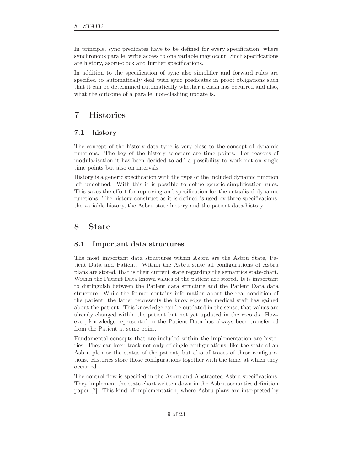In principle, sync predicates have to be defined for every specification, where synchronous parallel write access to one variable may occur. Such specifications are history, asbru-clock and further specifications.

In addition to the specification of sync also simplifier and forward rules are specified to automatically deal with sync predicates in proof obligations such that it can be determined automatically whether a clash has occurred and also, what the outcome of a parallel non-clashing update is.

# **7 Histories**

### **7.1 history**

The concept of the history data type is very close to the concept of dynamic functions. The key of the history selectors are time points. For reasons of modularisation it has been decided to add a possibility to work not on single time points but also on intervals.

History is a generic specification with the type of the included dynamic function left undefined. With this it is possible to define generic simplification rules. This saves the effort for reproving and specification for the actualised dynamic functions. The history construct as it is defined is used by three specifications, the variable history, the Asbru state history and the patient data history.

# **8 State**

### **8.1 Important data structures**

The most important data structures within Asbru are the Asbru State, Patient Data and Patient. Within the Asbru state all configurations of Asbru plans are stored, that is their current state regarding the semantics state-chart. Within the Patient Data known values of the patient are stored. It is important to distinguish between the Patient data structure and the Patient Data data structure. While the former contains information about the real condition of the patient, the latter represents the knowledge the medical staff has gained about the patient. This knowledge can be outdated in the sense, that values are already changed within the patient but not yet updated in the records. However, knowledge represented in the Patient Data has always been transferred from the Patient at some point.

Fundamental concepts that are included within the implementation are histories. They can keep track not only of single configurations, like the state of an Asbru plan or the status of the patient, but also of traces of these configurations. Histories store those configurations together with the time, at which they occurred.

The control flow is specified in the Asbru and Abstracted Asbru specifications. They implement the state-chart written down in the Asbru semantics definition paper [7]. This kind of implementation, where Asbru plans are interpreted by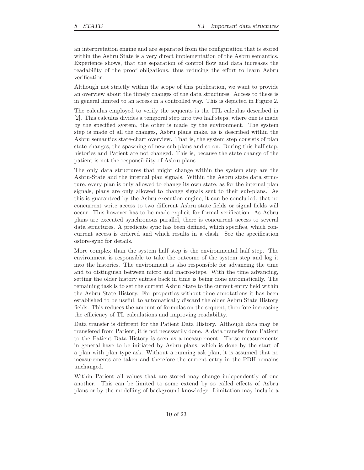an interpretation engine and are separated from the configuration that is stored within the Asbru State is a very direct implementation of the Asbru semantics. Experience shows, that the separation of control flow and data increases the readability of the proof obligations, thus reducing the effort to learn Asbru verification.

Although not strictly within the scope of this publication, we want to provide an overview about the timely changes of the data structures. Access to these is in general limited to an access in a controlled way. This is depicted in Figure 2.

The calculus employed to verify the sequents is the ITL calculus described in [2]. This calculus divides a temporal step into two half steps, where one is made by the specified system, the other is made by the environment. The system step is made of all the changes, Asbru plans make, as is described within the Asbru semantics state-chart overview. That is, the system step consists of plan state changes, the spawning of new sub-plans and so on. During this half step, histories and Patient are not changed. This is, because the state change of the patient is not the responsibility of Asbru plans.

The only data structures that might change within the system step are the Asbru-State and the internal plan signals. Within the Asbru state data structure, every plan is only allowed to change its own state, as for the internal plan signals, plans are only allowed to change signals sent to their sub-plans. As this is guaranteed by the Asbru execution engine, it can be concluded, that no concurrent write access to two different Asbru state fields or signal fields will occur. This however has to be made explicit for formal verification. As Asbru plans are executed synchronous parallel, there is concurrent access to several data structures. A predicate sync has been defined, which specifies, which concurrent access is ordered and which results in a clash. See the specification ostore-sync for details.

More complex than the system half step is the environmental half step. The environment is responsible to take the outcome of the system step and log it into the histories. The environment is also responsible for advancing the time and to distinguish between micro and macro-steps. With the time advancing, setting the older history entries back in time is being done automatically. The remaining task is to set the current Asbru State to the current entry field within the Asbru State History. For properties without time annotations it has been established to be useful, to automatically discard the older Asbru State History fields. This reduces the amount of formulas on the sequent, therefore increasing the efficiency of TL calculations and improving readability.

Data transfer is different for the Patient Data History. Although data may be transfered from Patient, it is not necessarily done. A data transfer from Patient to the Patient Data History is seen as a measurement. Those measurements in general have to be initiated by Asbru plans, which is done by the start of a plan with plan type ask. Without a running ask plan, it is assumed that no measurements are taken and therefore the current entry in the PDH remains unchanged.

Within Patient all values that are stored may change independently of one another. This can be limited to some extend by so called effects of Asbru plans or by the modelling of background knowledge. Limitation may include a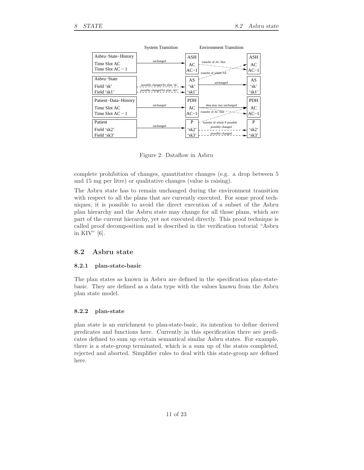

Figure 2: Dataflow in Asbru

complete prohibition of changes, quantitative changes (e.g. a drop between 5 and 15 mg per litre) or qualitative changes (value is raising).

The Asbru state has to remain unchanged during the environment transition with respect to all the plans that are currently executed. For some proof techniques, it is possible to avoid the direct execution of a subset of the Asbru plan hierarchy and the Asbru state may change for all those plans, which are part of the current hierarchy, yet not executed directly. This proof technique is called proof decomposition and is described in the verification tutorial "Asbru in KIV" [6].

### **8.2 Asbru state**

#### **8.2.1 plan-state-basic**

The plan states as known in Asbru are defined in the specification plan-statebasic. They are defined as a data type with the values known from the Asbru plan state model.

#### **8.2.2 plan-state**

plan state is an enrichment to plan-state-basic, its intention to define derived predicates and functions here. Currently in this specification there are predicates defined to sum up certain semantical similar Asbru states. For example, there is a state-group terminated, which is a sum up of the states completed, rejected and aborted. Simplifier rules to deal with this state-group are defined here.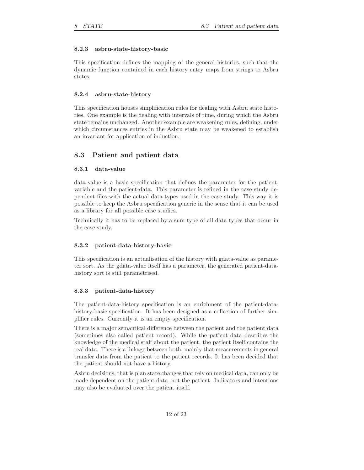#### **8.2.3 asbru-state-history-basic**

This specification defines the mapping of the general histories, such that the dynamic function contained in each history entry maps from strings to Asbru states.

#### **8.2.4 asbru-state-history**

This specification houses simplification rules for dealing with Asbru state histories. One example is the dealing with intervals of time, during which the Asbru state remains unchanged. Another example are weakening rules, defining, under which circumstances entries in the Asbru state may be weakened to establish an invariant for application of induction.

### **8.3 Patient and patient data**

#### **8.3.1 data-value**

data-value is a basic specification that defines the parameter for the patient, variable and the patient-data. This parameter is refined in the case study dependent files with the actual data types used in the case study. This way it is possible to keep the Asbru specification generic in the sense that it can be used as a library for all possible case studies.

Technically it has to be replaced by a sum type of all data types that occur in the case study.

#### **8.3.2 patient-data-history-basic**

This specification is an actualisation of the history with gdata-value as parameter sort. As the gdata-value itself has a parameter, the generated patient-datahistory sort is still parametrised.

#### **8.3.3 patient-data-history**

The patient-data-history specification is an enrichment of the patient-datahistory-basic specification. It has been designed as a collection of further simplifier rules. Currently it is an empty specification.

There is a major semantical difference between the patient and the patient data (sometimes also called patient record). While the patient data describes the knowledge of the medical staff about the patient, the patient itself contains the real data. There is a linkage between both, mainly that measurements in general transfer data from the patient to the patient records. It has been decided that the patient should not have a history.

Asbru decisions, that is plan state changes that rely on medical data, can only be made dependent on the patient data, not the patient. Indicators and intentions may also be evaluated over the patient itself.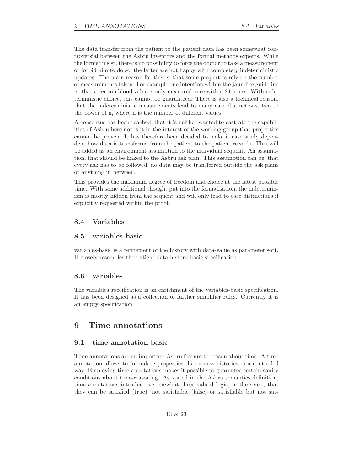The data transfer from the patient to the patient data has been somewhat controversial between the Asbru inventors and the formal methods experts. While the former insist, there is no possibility to force the doctor to take a measurement or forbid him to do so, the latter are not happy with completely indeterministic updates. The main reason for this is, that some properties rely on the number of measurements taken. For example one intention within the jaundice guideline is, that a certain blood value is only measured once within 24 hours. With indeterministic choice, this cannot be guaranteed. There is also a technical reason, that the indeterministic measurements lead to many case distinctions, two to the power of n, where n is the number of different values.

A consensus has been reached, that it is neither wanted to castrate the capabilities of Asbru here nor is it in the interest of the working group that properties cannot be proven. It has therefore been decided to make it case study dependent how data is transferred from the patient to the patient records. This will be added as an environment assumption to the individual sequent. An assumption, that should be linked to the Asbru ask plan. This assumption can be, that every ask has to be followed, no data may be transferred outside the ask plans or anything in between.

This provides the maximum degree of freedom and choice at the latest possible time. With some additional thought put into the formalisation, the indeterminism is mostly hidden from the sequent and will only lead to case distinctions if explicitly requested within the proof.

# **8.4 Variables**

#### **8.5 variables-basic**

variables-basic is a refinement of the history with data-value as parameter sort. It closely resembles the patient-data-history-basic specification.

#### **8.6 variables**

The variables specification is an enrichment of the variables-basic specification. It has been designed as a collection of further simplifier rules. Currently it is an empty specification.

# **9 Time annotations**

#### **9.1 time-annotation-basic**

Time annotations are an important Asbru feature to reason about time. A time annotation allows to formulate properties that access histories in a controlled way. Employing time annotations makes it possible to guarantee certain sanity conditions about time-reasoning. As stated in the Asbru semantics definition, time annotations introduce a somewhat three valued logic, in the sense, that they can be satisfied (true), not satisfiable (false) or satisfiable but not sat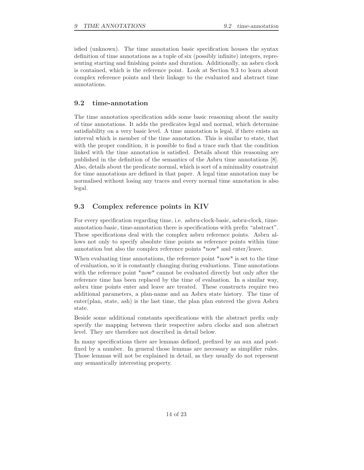isfied (unknown). The time annotation basic specification houses the syntax definition of time annotations as a tuple of six (possibly infinite) integers, representing starting and finishing points and duration. Additionally, an asbru clock is contained, which is the reference point. Look at Section 9.3 to learn about complex reference points and their linkage to the evaluated and abstract time annotations.

### **9.2 time-annotation**

The time annotation specification adds some basic reasoning about the sanity of time annotations. It adds the predicates legal and normal, which determine satisfiability on a very basic level. A time annotation is legal, if there exists an interval which is member of the time annotation. This is similar to state, that with the proper condition, it is possible to find a trace such that the condition linked with the time annotation is satisfied. Details about this reasoning are published in the definition of the semantics of the Asbru time annotations [8]. Also, details about the predicate normal, which is sort of a minimality constraint for time annotations are defined in that paper. A legal time annotation may be normalised without losing any traces and every normal time annotation is also legal.

### **9.3 Complex reference points in KIV**

For every specification regarding time, i.e. asbru-clock-basic, asbru-clock, timeannotation-basic, time-annotation there is specifications with prefix "abstract". These specifications deal with the complex asbru reference points. Asbru allows not only to specify absolute time points as reference points within time annotation but also the complex reference points \*now\* and enter/leave.

When evaluating time annotations, the reference point \*now\* is set to the time of evaluation, so it is constantly changing during evaluations. Time annotations with the reference point \*now\* cannot be evaluated directly but only after the reference time has been replaced by the time of evaluation. In a similar way, asbru time points enter and leave are treated. These constructs require two additional parameters, a plan-name and an Asbru state history. The time of enter(plan, state, ash) is the last time, the plan plan entered the given Asbru state.

Beside some additional constants specifications with the abstract prefix only specify the mapping between their respective asbru clocks and non abstract level. They are therefore not described in detail below.

In many specifications there are lemmas defined, prefixed by an aux and postfixed by a number. In general those lemmas are necessary as simplifier rules. Those lemmas will not be explained in detail, as they usually do not represent any semantically interesting property.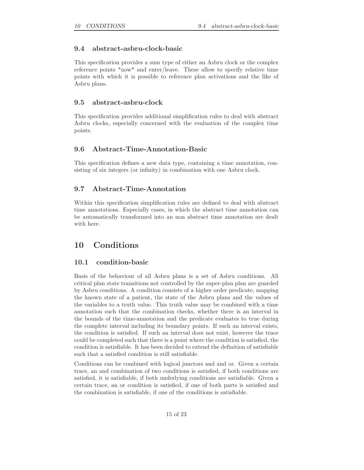### **9.4 abstract-asbru-clock-basic**

This specification provides a sum type of either an Asbru clock or the complex reference points \*now\* and enter/leave. These allow to specify relative time points with which it is possible to reference plan activations and the like of Asbru plans.

### **9.5 abstract-asbru-clock**

This specification provides additional simplification rules to deal with abstract Asbru clocks, especially concerned with the evaluation of the complex time points.

### **9.6 Abstract-Time-Annotation-Basic**

This specification defines a new data type, containing a time annotation, consisting of six integers (or infinity) in combination with one Asbru clock.

# **9.7 Abstract-Time-Annotation**

Within this specification simplification rules are defined to deal with abstract time annotations. Especially cases, in which the abstract time annotation can be automatically transformed into an non abstract time annotation are dealt with here.

# **10 Conditions**

### **10.1 condition-basic**

Basis of the behaviour of all Asbru plans is a set of Asbru conditions. All critical plan state transitions not controlled by the super-plan plan are guarded by Asbru conditions. A condition consists of a higher order predicate, mapping the known state of a patient, the state of the Asbru plans and the values of the variables to a truth value. This truth value may be combined with a time annotation such that the combination checks, whether there is an interval in the bounds of the time-annotation and the predicate evaluates to true during the complete interval including its boundary points. If such an interval exists, the condition is satisfied. If such an interval does not exist, however the trace could be completed such that there is a point where the condition is satisfied, the condition is satisfiable. It has been decided to extend the definition of satisfiable such that a satisfied condition is still satisfiable.

Conditions can be combined with logical junctors and and or. Given a certain trace, an and combination of two conditions is satisfied, if both conditions are satisfied, it is satisfiable, if both underlying conditions are satisfiable. Given a certain trace, an or condition is satisfied, if one of both parts is satisfied and the combination is satisfiable, if one of the conditions is satisfiable.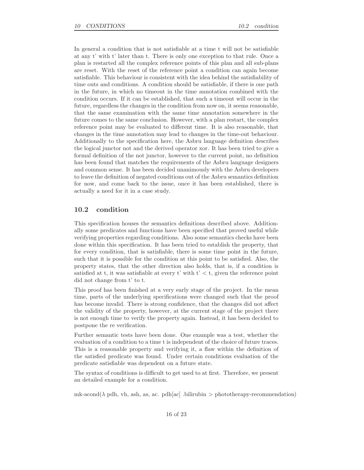In general a condition that is not satisfiable at a time t will not be satisfiable at any t' with t' later than t. There is only one exception to that rule. Once a plan is restarted all the complex reference points of this plan and all sub-plans are reset. With the reset of the reference point a condition can again become satisfiable. This behaviour is consistent with the idea behind the satisfiability of time outs and conditions. A condition should be satisfiable, if there is one path in the future, in which no timeout in the time annotation combined with the condition occurs. If it can be established, that such a timeout will occur in the future, regardless the changes in the condition from now on, it seems reasonable, that the same examination with the same time annotation somewhere in the future comes to the same conclusion. However, with a plan restart, the complex reference point may be evaluated to different time. It is also reasonable, that changes in the time annotation may lead to changes in the time-out behaviour. Additionally to the specification here, the Asbru language definition describes the logical junctor not and the derived operator xor. It has been tried to give a formal definition of the not junctor, however to the current point, no definition has been found that matches the requirements of the Asbru language designers and common sense. It has been decided unanimously with the Asbru developers to leave the definition of negated conditions out of the Asbru semantics definition for now, and come back to the issue, once it has been established, there is actually a need for it in a case study.

### **10.2 condition**

This specification houses the semantics definitions described above. Additionally some predicates and functions have been specified that proved useful while verifying properties regarding conditions. Also some semantics checks have been done within this specification. It has been tried to establish the property, that for every condition, that is satisfiable, there is some time point in the future, such that it is possible for the condition at this point to be satisfied. Also, the property states, that the other direction also holds, that is, if a condition is satisfied at t, it was satisfiable at every t' with  $t' < t$ , given the reference point did not change from t' to t.

This proof has been finished at a very early stage of the project. In the mean time, parts of the underlying specifications were changed such that the proof has become invalid. There is strong confidence, that the changes did not affect the validity of the property, however, at the current stage of the project there is not enough time to verify the property again. Instead, it has been decided to postpone the re verification.

Further semantic tests have been done. One example was a test, whether the evaluation of a condition to a time t is independent of the choice of future traces. This is a reasonable property and verifying it, a flaw within the definition of the satisfied predicate was found. Under certain conditions evaluation of the predicate satisfiable was dependent on a future state.

The syntax of conditions is difficult to get used to at first. Therefore, we present an detailed example for a condition.

mk-acond( $\lambda$  pdh, vh, ash, as, ac. pdh[ac] .bilirubin > phototherapy-recommendation)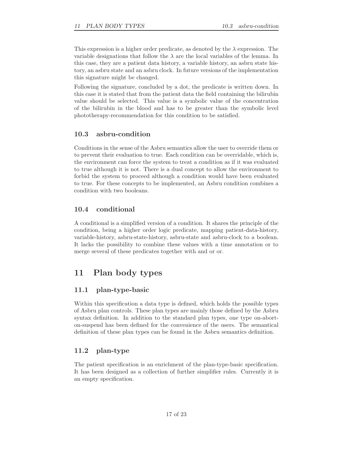This expression is a higher order predicate, as denoted by the  $\lambda$  expression. The variable designations that follow the  $\lambda$  are the local variables of the lemma. In this case, they are a patient data history, a variable history, an asbru state history, an asbru state and an asbru clock. In future versions of the implementation this signature might be changed.

Following the signature, concluded by a dot, the predicate is written down. In this case it is stated that from the patient data the field containing the bilirubin value should be selected. This value is a symbolic value of the concentration of the bilirubin in the blood and has to be greater than the symbolic level phototherapy-recommendation for this condition to be satisfied.

### **10.3 asbru-condition**

Conditions in the sense of the Asbru semantics allow the user to override them or to prevent their evaluation to true. Each condition can be overridable, which is, the environment can force the system to treat a condition as if it was evaluated to true although it is not. There is a dual concept to allow the environment to forbid the system to proceed although a condition would have been evaluated to true. For these concepts to be implemented, an Asbru condition combines a condition with two booleans.

# **10.4 conditional**

A conditional is a simplified version of a condition. It shares the principle of the condition, being a higher order logic predicate, mapping patient-data-history, variable-history, asbru-state-history, asbru-state and asbru-clock to a boolean. It lacks the possibility to combine these values with a time annotation or to merge several of these predicates together with and or or.

# **11 Plan body types**

### **11.1 plan-type-basic**

Within this specification a data type is defined, which holds the possible types of Asbru plan controls. These plan types are mainly those defined by the Asbru syntax definition. In addition to the standard plan types, one type on-aborton-suspend has been defined for the convenience of the users. The semantical definition of these plan types can be found in the Asbru semantics definition.

## **11.2 plan-type**

The patient specification is an enrichment of the plan-type-basic specification. It has been designed as a collection of further simplifier rules. Currently it is an empty specification.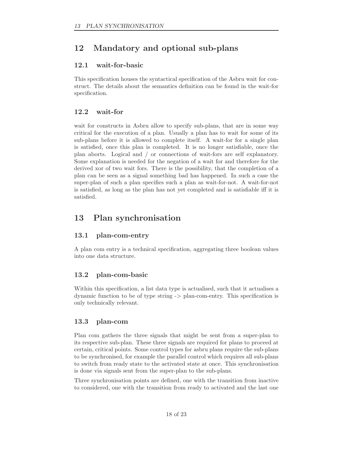# **12 Mandatory and optional sub-plans**

# **12.1 wait-for-basic**

This specification houses the syntactical specification of the Asbru wait for construct. The details about the semantics definition can be found in the wait-for specification.

# **12.2 wait-for**

wait for constructs in Asbru allow to specify sub-plans, that are in some way critical for the execution of a plan. Usually a plan has to wait for some of its sub-plans before it is allowed to complete itself. A wait-for for a single plan is satisfied, once this plan is completed. It is no longer satisfiable, once the plan aborts. Logical and / or connections of wait-fors are self explanatory. Some explanation is needed for the negation of a wait for and therefore for the derived xor of two wait fors. There is the possibility, that the completion of a plan can be seen as a signal something bad has happened. In such a case the super-plan of such a plan specifies such a plan as wait-for-not. A wait-for-not is satisfied, as long as the plan has not yet completed and is satisfiable iff it is satisfied.

# **13 Plan synchronisation**

# **13.1 plan-com-entry**

A plan com entry is a technical specification, aggregating three boolean values into one data structure.

# **13.2 plan-com-basic**

Within this specification, a list data type is actualised, such that it actualises a dynamic function to be of type string -> plan-com-entry. This specification is only technically relevant.

# **13.3 plan-com**

Plan com gathers the three signals that might be sent from a super-plan to its respective sub-plan. These three signals are required for plans to proceed at certain, critical points. Some control types for asbru plans require the sub-plans to be synchronised, for example the parallel control which requires all sub-plans to switch from ready state to the activated state at once. This synchronisation is done via signals sent from the super-plan to the sub-plans.

Three synchronisation points are defined, one with the transition from inactive to considered, one with the transition from ready to activated and the last one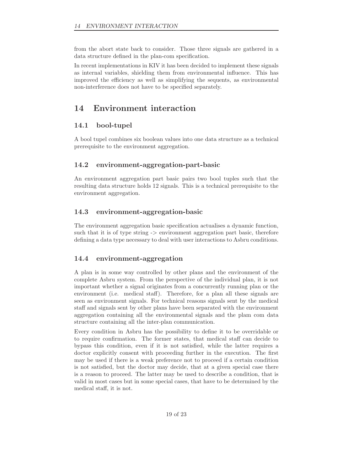from the abort state back to consider. Those three signals are gathered in a data structure defined in the plan-com specification.

In recent implementations in KIV it has been decided to implement these signals as internal variables, shielding them from environmental influence. This has improved the efficiency as well as simplifying the sequents, as environmental non-interference does not have to be specified separately.

# **14 Environment interaction**

# **14.1 bool-tupel**

A bool tupel combines six boolean values into one data structure as a technical prerequisite to the environment aggregation.

# **14.2 environment-aggregation-part-basic**

An environment aggregation part basic pairs two bool tuples such that the resulting data structure holds 12 signals. This is a technical prerequisite to the environment aggregation.

# **14.3 environment-aggregation-basic**

The environment aggregation basic specification actualises a dynamic function, such that it is of type string -> environment aggregation part basic, therefore defining a data type necessary to deal with user interactions to Asbru conditions.

# **14.4 environment-aggregation**

A plan is in some way controlled by other plans and the environment of the complete Asbru system. From the perspective of the individual plan, it is not important whether a signal originates from a concurrently running plan or the environment (i.e. medical staff). Therefore, for a plan all these signals are seen as environment signals. For technical reasons signals sent by the medical staff and signals sent by other plans have been separated with the environment aggregation containing all the environmental signals and the plam com data structure containing all the inter-plan communication.

Every condition in Asbru has the possibility to define it to be overridable or to require confirmation. The former states, that medical staff can decide to bypass this condition, even if it is not satisfied, while the latter requires a doctor explicitly consent with proceeding further in the execution. The first may be used if there is a weak preference not to proceed if a certain condition is not satisfied, but the doctor may decide, that at a given special case there is a reason to proceed. The latter may be used to describe a condition, that is valid in most cases but in some special cases, that have to be determined by the medical staff, it is not.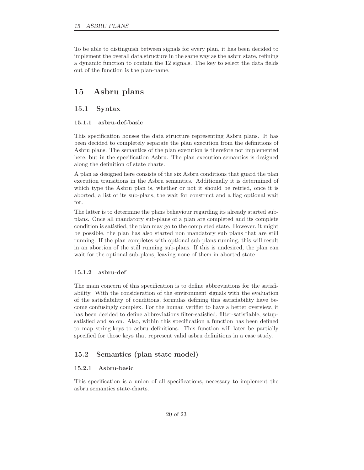To be able to distinguish between signals for every plan, it has been decided to implement the overall data structure in the same way as the asbru state, refining a dynamic function to contain the 12 signals. The key to select the data fields out of the function is the plan-name.

# **15 Asbru plans**

### **15.1 Syntax**

#### **15.1.1 asbru-def-basic**

This specification houses the data structure representing Asbru plans. It has been decided to completely separate the plan execution from the definitions of Asbru plans. The semantics of the plan execution is therefore not implemented here, but in the specification Asbru. The plan execution semantics is designed along the definition of state charts.

A plan as designed here consists of the six Asbru conditions that guard the plan execution transitions in the Asbru semantics. Additionally it is determined of which type the Asbru plan is, whether or not it should be retried, once it is aborted, a list of its sub-plans, the wait for construct and a flag optional wait for.

The latter is to determine the plans behaviour regarding its already started subplans. Once all mandatory sub-plans of a plan are completed and its complete condition is satisfied, the plan may go to the completed state. However, it might be possible, the plan has also started non mandatory sub plans that are still running. If the plan completes with optional sub-plans running, this will result in an abortion of the still running sub-plans. If this is undesired, the plan can wait for the optional sub-plans, leaving none of them in aborted state.

#### **15.1.2 asbru-def**

The main concern of this specification is to define abbreviations for the satisfiability. With the consideration of the environment signals with the evaluation of the satisfiability of conditions, formulas defining this satisfiability have become confusingly complex. For the human verifier to have a better overview, it has been decided to define abbreviations filter-satisfied, filter-satisfiable, setupsatisfied and so on. Also, within this specification a function has been defined to map string-keys to asbru definitions. This function will later be partially specified for those keys that represent valid asbru definitions in a case study.

### **15.2 Semantics (plan state model)**

#### **15.2.1 Asbru-basic**

This specification is a union of all specifications, necessary to implement the asbru semantics state-charts.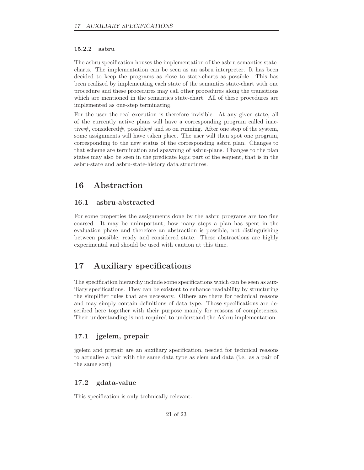#### **15.2.2 asbru**

The asbru specification houses the implementation of the asbru semantics statecharts. The implementation can be seen as an asbru interpreter. It has been decided to keep the programs as close to state-charts as possible. This has been realized by implementing each state of the semantics state-chart with one procedure and these procedures may call other procedures along the transitions which are mentioned in the semantics state-chart. All of these procedures are implemented as one-step terminating.

For the user the real execution is therefore invisible. At any given state, all of the currently active plans will have a corresponding program called inactive#, considered#, possible# and so on running. After one step of the system, some assignments will have taken place. The user will then spot one program, corresponding to the new status of the corresponding asbru plan. Changes to that scheme are termination and spawning of asbru-plans. Changes to the plan states may also be seen in the predicate logic part of the sequent, that is in the asbru-state and asbru-state-history data structures.

# **16 Abstraction**

### **16.1 asbru-abstracted**

For some properties the assignments done by the asbru programs are too fine coarsed. It may be unimportant, how many steps a plan has spent in the evaluation phase and therefore an abstraction is possible, not distinguishing between possible, ready and considered state. These abstractions are highly experimental and should be used with caution at this time.

# **17 Auxiliary specifications**

The specification hierarchy include some specifications which can be seen as auxiliary specifications. They can be existent to enhance readability by structuring the simplifier rules that are necessary. Others are there for technical reasons and may simply contain definitions of data type. Those specifications are described here together with their purpose mainly for reasons of completeness. Their understanding is not required to understand the Asbru implementation.

### **17.1 jgelem, prepair**

jgelem and prepair are an auxiliary specification, needed for technical reasons to actualise a pair with the same data type as elem and data (i.e. as a pair of the same sort)

### **17.2 gdata-value**

This specification is only technically relevant.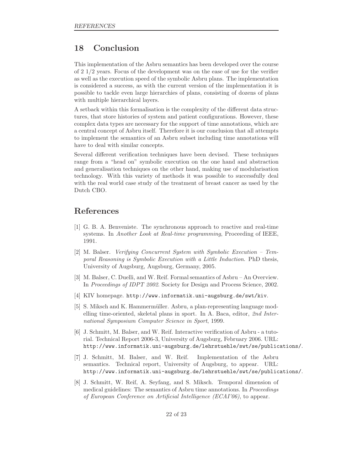# **18 Conclusion**

This implementation of the Asbru semantics has been developed over the course of 2 1/2 years. Focus of the development was on the ease of use for the verifier as well as the execution speed of the symbolic Asbru plans. The implementation is considered a success, as with the current version of the implementation it is possible to tackle even large hierarchies of plans, consisting of dozens of plans with multiple hierarchical layers.

A setback within this formalisation is the complexity of the different data structures, that store histories of system and patient configurations. However, these complex data types are necessary for the support of time annotations, which are a central concept of Asbru itself. Therefore it is our conclusion that all attempts to implement the semantics of an Asbru subset including time annotations will have to deal with similar concepts.

Several different verification techniques have been devised. These techniques range from a "head on" symbolic execution on the one hand and abstraction and generalisation techniques on the other hand, making use of modularisation technology. With this variety of methods it was possible to successfully deal with the real world case study of the treatment of breast cancer as used by the Dutch CBO.

# **References**

- [1] G. B. A. Benveniste. The synchronous approach to reactive and real-time systems. In *Another Look at Real-time programming*, Proceeding of IEEE, 1991.
- [2] M. Balser. *Verifying Concurrent System with Symbolic Execution Temporal Reasoning is Symbolic Execution with a Little Induction*. PhD thesis, University of Augsburg, Augsburg, Germany, 2005.
- [3] M. Balser, C. Duelli, and W. Reif. Formal semantics of Asbru An Overview. In *Proceedings of IDPT 2002*. Society for Design and Process Science, 2002.
- [4] KIV homepage. http://www.informatik.uni-augsburg.de/swt/kiv.
- [5] S. Miksch and K. Hammermüller. Asbru, a plan-representing language modelling time-oriented, skeletal plans in sport. In A. Baca, editor, *2nd International Symposium Computer Science in Sport*, 1999.
- [6] J. Schmitt, M. Balser, and W. Reif. Interactive verification of Asbru a tutorial. Technical Report 2006-3, University of Augsburg, February 2006. URL: http://www.informatik.uni-augsburg.de/lehrstuehle/swt/se/publications/.
- [7] J. Schmitt, M. Balser, and W. Reif. Implementation of the Asbru semantics. Technical report, University of Augsburg, to appear. URL: http://www.informatik.uni-augsburg.de/lehrstuehle/swt/se/publications/.
- [8] J. Schmitt, W. Reif, A. Seyfang, and S. Miksch. Temporal dimension of medical guidelines: The semantics of Asbru time annotations. In *Proceedings of European Conference on Artificial Intelligence (ECAI'06)*, to appear.